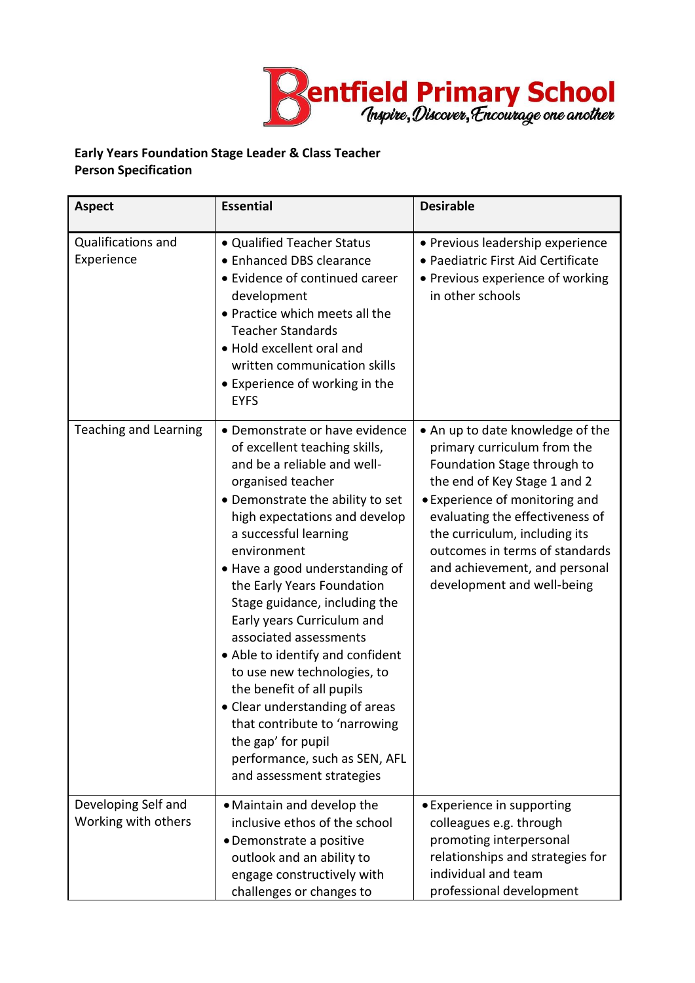

## **Early Years Foundation Stage Leader & Class Teacher Person Specification**

| <b>Aspect</b>                              | <b>Essential</b>                                                                                                                                                                                                                                                                                                                                                                                                                                                                                                                                                                                                                                 | <b>Desirable</b>                                                                                                                                                                                                                                                                                                                      |
|--------------------------------------------|--------------------------------------------------------------------------------------------------------------------------------------------------------------------------------------------------------------------------------------------------------------------------------------------------------------------------------------------------------------------------------------------------------------------------------------------------------------------------------------------------------------------------------------------------------------------------------------------------------------------------------------------------|---------------------------------------------------------------------------------------------------------------------------------------------------------------------------------------------------------------------------------------------------------------------------------------------------------------------------------------|
| Qualifications and<br>Experience           | • Qualified Teacher Status<br>• Enhanced DBS clearance<br>• Evidence of continued career<br>development<br>. Practice which meets all the<br><b>Teacher Standards</b><br>• Hold excellent oral and<br>written communication skills<br>• Experience of working in the<br><b>EYFS</b>                                                                                                                                                                                                                                                                                                                                                              | • Previous leadership experience<br>• Paediatric First Aid Certificate<br>• Previous experience of working<br>in other schools                                                                                                                                                                                                        |
| <b>Teaching and Learning</b>               | • Demonstrate or have evidence<br>of excellent teaching skills,<br>and be a reliable and well-<br>organised teacher<br>• Demonstrate the ability to set<br>high expectations and develop<br>a successful learning<br>environment<br>• Have a good understanding of<br>the Early Years Foundation<br>Stage guidance, including the<br>Early years Curriculum and<br>associated assessments<br>• Able to identify and confident<br>to use new technologies, to<br>the benefit of all pupils<br>• Clear understanding of areas<br>that contribute to 'narrowing<br>the gap' for pupil<br>performance, such as SEN, AFL<br>and assessment strategies | • An up to date knowledge of the<br>primary curriculum from the<br>Foundation Stage through to<br>the end of Key Stage 1 and 2<br>• Experience of monitoring and<br>evaluating the effectiveness of<br>the curriculum, including its<br>outcomes in terms of standards<br>and achievement, and personal<br>development and well-being |
| Developing Self and<br>Working with others | • Maintain and develop the<br>inclusive ethos of the school<br>• Demonstrate a positive<br>outlook and an ability to<br>engage constructively with<br>challenges or changes to                                                                                                                                                                                                                                                                                                                                                                                                                                                                   | • Experience in supporting<br>colleagues e.g. through<br>promoting interpersonal<br>relationships and strategies for<br>individual and team<br>professional development                                                                                                                                                               |